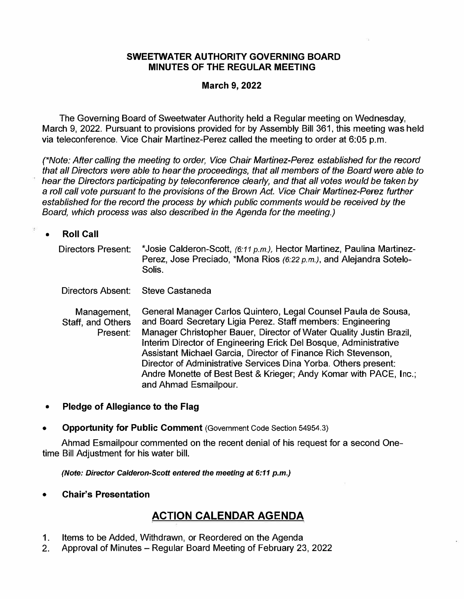### **SWEETWATER AUTHORITY GOVERNING BOARD MINUTES OF THE REGULAR MEETING**

## **March 9, 2022**

The Governing Board of Sweetwater Authority held a Regular meeting on Wednesday, March 9, 2022. Pursuant to provisions provided for by Assembly Bill 361, this meeting was held via teleconference. Vice Chair Martinez-Perez called the meeting to order at 6:05 p.m.

*(\*Note: After calling the meeting to order, Vice Chair Martinez-Perez established for the record that all Directors were able to hear the proceedings, that all members of the Board were able to hear the Directors participating by teleconference clearly, and that all votes would be taken by*  a *roll call vote pursuant to the provisions of the Brown Act. Vice Chair Martinez-Perez further established for the record the process by which public comments would be received by the Board, which process was also described in the Agenda for the meeting.)* 

#### **• Roll Call**

法

Directors Present: \*Josie Calderon-Scott, *(6:11 p.m.),* Hector Martinez, Paulina Martinez-Perez, Jose Preciado, \*Mona Rios (6:22 p.m.), and Alejandra Sotelo-Solis.

Directors Absent: Steve Castaneda

Management, Staff, and Others Present: General Manager Carlos Quintero, Legal Counsel Paula de Sousa, and Board Secretary Ligia Perez. Staff members: Engineering Manager Christopher Bauer, Director of Water Quality Justin Brazil, Interim Director of Engineering Erick Del Bosque, Administrative Assistant Michael Garcia, Director of Finance Rich Stevenson, Director of Administrative Services Dina Yorba. Others present: Andre Monette of Best Best & Krieger; Andy Komar with PACE, Inc.; and Ahmad Esmailpour.

- **• Pledge of Allegiance to the Flag**
- **• Opportunity for Public Comment** (Government Code Section 54954.3)

Ahmad Esmailpour commented on the recent denial of his request for a second Onetime Bill Adjustment for his water bill.

*(Note: Director Calderon-Scott entered the meeting at 6:11 p.m.)* 

**• Chair's Presentation**

## **ACTION CALENDAR AGENDA**

- 1. Items to be Added, Withdrawn, or Reordered on the Agenda
- 2. Approval of Minutes Regular Board Meeting of February 23, 2022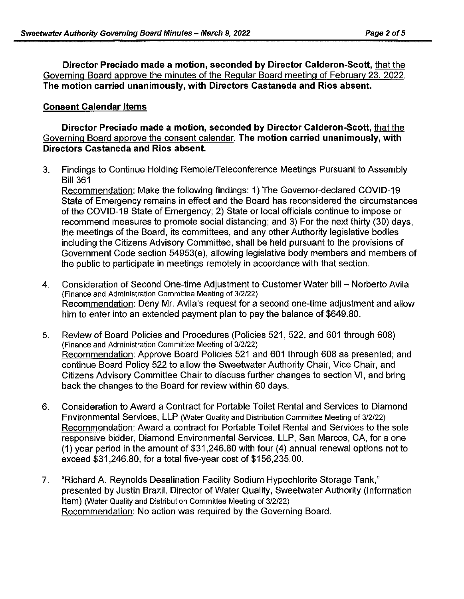**Director Preciado made a motion, seconded by Director Calderon-Scott,** that the Governing Board approve the minutes of the Regular Board meeting of February 23, 2022. **The motion carried unanimously, with Directors Castaneda and Rios absent.** 

## **Consent Calendar Items**

**Director Preciado made a motion, seconded by Director Calderon-Scott,** that the Governing Board approve the consent calendar. **The motion carried unanimously, with Directors Castaneda and Rios absent.** 

3. Findings to Continue Holding Remote/Teleconference Meetings Pursuant to Assembly Bill 361

Recommendation: Make the following findings: 1) The Governor-declared COVID-19 State of Emergency remains in effect and the Board has reconsidered the circumstances of the COVID-19 State of Emergency; 2) State or local officials continue to impose or recommend measures to promote social distancing; and 3) For the next thirty (30) days, the meetings of the Board, its committees, and any other Authority legislative bodies including the Citizens Advisory Committee, shall be held pursuant to the provisions of Government Code section 54953(e), allowing legislative body members and members of the public to participate in meetings remotely in accordance with that section.

- 4. Consideration of Second One-time Adiustment to Customer Water bill Norberto Avila (Finance and Administration Committee Meeting of 3/2/22) Recommendation: Deny Mr. Avila's request for a second one-time adjustment and allow him to enter into an extended payment plan to pay the balance of \$649.80.
- 5. Review of Board Policies and Procedures (Policies 521, 522, and 601 through 608) (Finance and Administration Committee Meeting of 3/2/22) Recommendation: Approve Board Policies 521 and 601 through 608 as presented; and continue Board Policy 522 to allow the Sweetwater Authority Chair, Vice Chair, and Citizens Advisory Committee Chair to discuss further changes to section VI, and bring back the changes to the Board for review within 60 days.
- 6. Consideration to Award a Contract for Portable Toilet Rental and Services to Diamond Environmental Services, LLP (Water Quality and Distribution Committee Meeting of 3/2/22) Recommendation: Award a contract for Portable Toilet Rental and Services to the sole responsive bidder, Diamond Environmental Services, LLP, San Marcos, CA, for a one (1) year period in the amount of \$31,246.80 with four (4) annual renewal options not to exceed \$31,246.80, for a total five-year cost of \$156,235.00.
- 7. "Richard A. Reynolds Desalination Facility Sodium Hypochlorite Storage Tank," presented by Justin Brazil, Director of Water Quality, Sweetwater Authority (Information Item) (Water Quality and Distribution Committee Meeting of 3/2/22) Recommendation: No action was required by the Governing Board.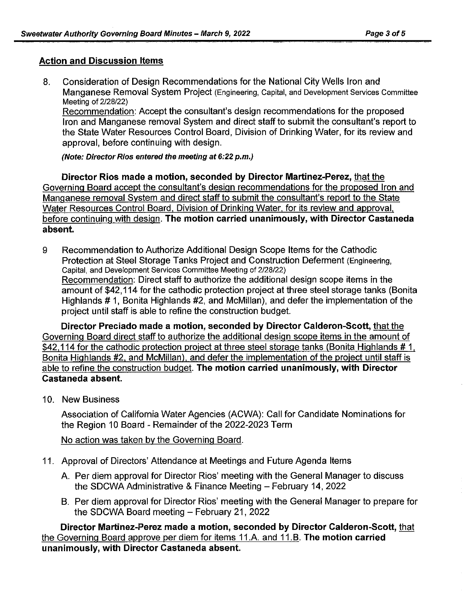#### **Action and Discussion Items**

8. Consideration of Design Recommendations for the National City Wells Iron and Manganese Removal System Project (Engineering, Capital, and Development Services Committee Meeting of 2/28/22) Recommendation: Accept the consultant's design recommendations for the proposed

Iron and Manganese removal System and direct staff to submit the consultant's report to the State Water Resources Control Board, Division of Drinking Water, for its review and approval, before continuing with design.

(Note: Director Rios entered the meeting at 6:22 p.m.)

**Director Rios made a motion, seconded by Director Martinez-Perez,** that the Governing Board accept the consultant's design recommendations for the proposed Iron and Manganese removal System and direct staff to submit the consultant's report to the State Water Resources Control Board, Division of Drinking Water, for its review and approval. before continuing with design. **The motion carried unanimously, with Director Castaneda absent.** 

9 Recommendation to Authorize Additional Design Scope Items for the Cathodic Protection at Steel Storage Tanks Project and Construction Deferment (Engineering, Capital, and Development Services Committee Meeting of 2/28/22) Recommendation: Direct staff to authorize the additional design scope items in the amount of \$42,114 for the cathodic protection project at three steel storage tanks (Bonita Highlands # 1. Bonita Highlands #2, and McMillan), and defer the implementation of the project until staff is able to refine the construction budget.

**Director Preciado made a motion, seconded by Director Calderon-Scott,** that the Governing Board direct staff to authorize the additional design scope items in the amount of \$42,114 for the cathodic protection project at three steel storage tanks (Bonita Highlands  $# 1$ . Bonita Highlands #2, and McMillan). and defer the implementation of the project until staff is able to refine the construction budget. **The motion carried unanimously, with Director Castaneda absent.** 

10. New Business

Association of California Water Agencies (ACWA): Call for Candidate Nominations for the Region 10 Board - Remainder of the 2022-2023 Term

No action was taken by the Governing Board.

- 11. Approval of Directors' Attendance at Meetings and Future Agenda Items
	- A. Per diem approval for Director Rios' meeting with the General Manager to discuss the SDCWA Administrative & Finance Meeting - February 14, 2022
	- B. Per diem approval for Director Rios" meeting with the General Manager to prepare for the SDCWA Board meeting - February 21, 2022

**Director Martinez-Perez made a motion, seconded by Director Calderon-Scott,** that the Governing Board approve per diem for items 11.A. and 11.B. **The motion carried unanimously, with Director Castaneda absent.**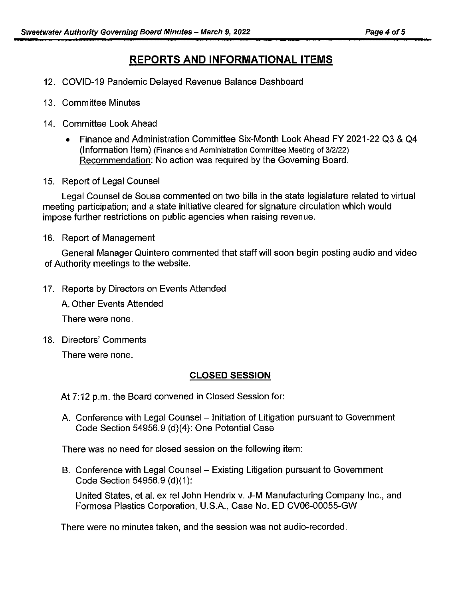# **REPORTS AND INFORMATIONAL ITEMS**

- 12. COVID-19 Pandemic Delayed Revenue Balance Dashboard
- 13. Committee Minutes
- 14. Committee Look Ahead
	- Finance and Administration Committee Six-Month Look Ahead FY 2021-22 Q3 & Q4 (Information Item) (Finance and Administration Committee Meeting of 3/2/22) Recommendation: No action was required by the Governing Board.
- 15. Report of Legal Counsel

Legal Counsel de Sousa commented on two bills in the state legislature related to virtual meeting participation; and a state initiative cleared for signature circulation which would impose further restrictions on public agencies when raising revenue.

16. Report of Management

General Manager Quintero commented that staff will soon begin posting audio and video of Authority meetings to the website.

17. Reports by Directors on Events Attended

A. Other Events Attended

There were none.

18. Directors' Comments

There were none.

## **CLOSED SESSION**

At 7:12 p.m. the Board convened in Closed Session for:

A. Conference with Legal Counsel – Initiation of Litigation pursuant to Government Code Section 54956.9 (d)(4): One Potential Case

There was no need for closed session on the following item:

B. Conference with Legal Counsel – Existing Litigation pursuant to Government Code Section 54956.9 (d)(1):

United States, et al. ex rel John Hendrix v. J-M Manufacturing Company Inc., and Formosa Plastics Corporation, U.S.A., Case No. ED CV06-00055-GW

There were no minutes taken, and the session was not audio-recorded.